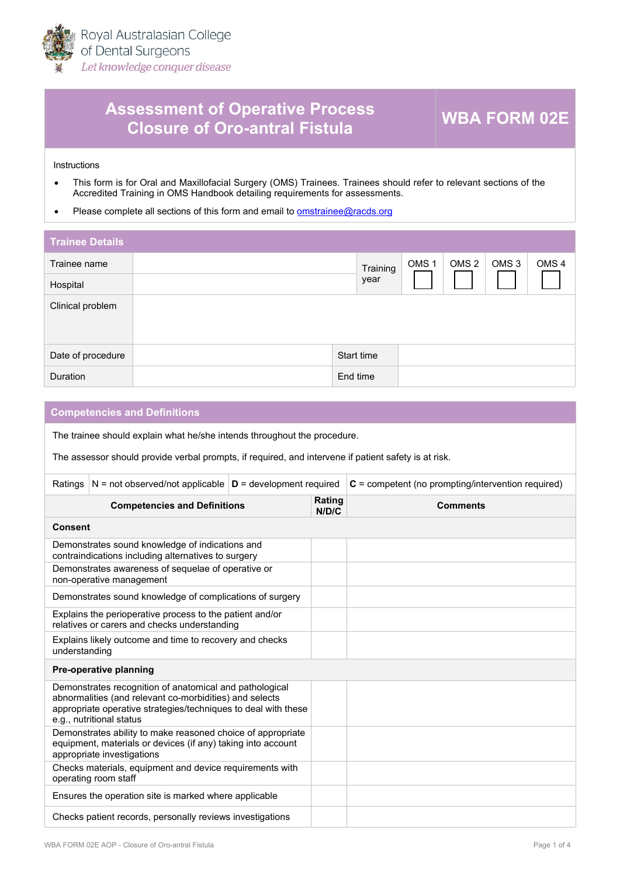

## **Assessment of Operative Process Closure of Oro-antral Fistula WBA FORM 02E**

Instructions

- This form is for Oral and Maxillofacial Surgery (OMS) Trainees. Trainees should refer to relevant sections of the [Accred](https://racds.org/accredited-training-in-oms-handbook/)ited Training in OMS Handbook detailing requirements for assessments.
- Please complete all sections of this form and email to **om[strainee@racds.org](mailto:omstrainee@racds.org)**

| <b>Trainee Details</b> |            |          |                  |                  |                  |                  |
|------------------------|------------|----------|------------------|------------------|------------------|------------------|
| Trainee name           |            | Training | OMS <sub>1</sub> | OMS <sub>2</sub> | OMS <sub>3</sub> | OMS <sub>4</sub> |
| Hospital               |            | year     |                  |                  |                  |                  |
| Clinical problem       |            |          |                  |                  |                  |                  |
| Date of procedure      | Start time |          |                  |                  |                  |                  |
| Duration               | End time   |          |                  |                  |                  |                  |

|                                                                                                                                                                                                                  | <b>Competencies and Definitions</b>                                              |  |                 |                                                      |
|------------------------------------------------------------------------------------------------------------------------------------------------------------------------------------------------------------------|----------------------------------------------------------------------------------|--|-----------------|------------------------------------------------------|
|                                                                                                                                                                                                                  | The trainee should explain what he/she intends throughout the procedure.         |  |                 |                                                      |
| The assessor should provide verbal prompts, if required, and intervene if patient safety is at risk.                                                                                                             |                                                                                  |  |                 |                                                      |
| Ratings                                                                                                                                                                                                          | $N = not observed/not applicable   D = development required$                     |  |                 | $C =$ competent (no prompting/intervention required) |
|                                                                                                                                                                                                                  | <b>Competencies and Definitions</b>                                              |  | Rating<br>N/D/C | <b>Comments</b>                                      |
| Consent                                                                                                                                                                                                          |                                                                                  |  |                 |                                                      |
| Demonstrates sound knowledge of indications and<br>contraindications including alternatives to surgery                                                                                                           |                                                                                  |  |                 |                                                      |
| Demonstrates awareness of sequelae of operative or<br>non-operative management                                                                                                                                   |                                                                                  |  |                 |                                                      |
| Demonstrates sound knowledge of complications of surgery                                                                                                                                                         |                                                                                  |  |                 |                                                      |
| Explains the perioperative process to the patient and/or<br>relatives or carers and checks understanding                                                                                                         |                                                                                  |  |                 |                                                      |
| Explains likely outcome and time to recovery and checks<br>understanding                                                                                                                                         |                                                                                  |  |                 |                                                      |
| Pre-operative planning                                                                                                                                                                                           |                                                                                  |  |                 |                                                      |
| Demonstrates recognition of anatomical and pathological<br>abnormalities (and relevant co-morbidities) and selects<br>appropriate operative strategies/techniques to deal with these<br>e.g., nutritional status |                                                                                  |  |                 |                                                      |
| Demonstrates ability to make reasoned choice of appropriate<br>equipment, materials or devices (if any) taking into account<br>appropriate investigations                                                        |                                                                                  |  |                 |                                                      |
|                                                                                                                                                                                                                  | Checks materials, equipment and device requirements with<br>operating room staff |  |                 |                                                      |
| Ensures the operation site is marked where applicable                                                                                                                                                            |                                                                                  |  |                 |                                                      |
| Checks patient records, personally reviews investigations                                                                                                                                                        |                                                                                  |  |                 |                                                      |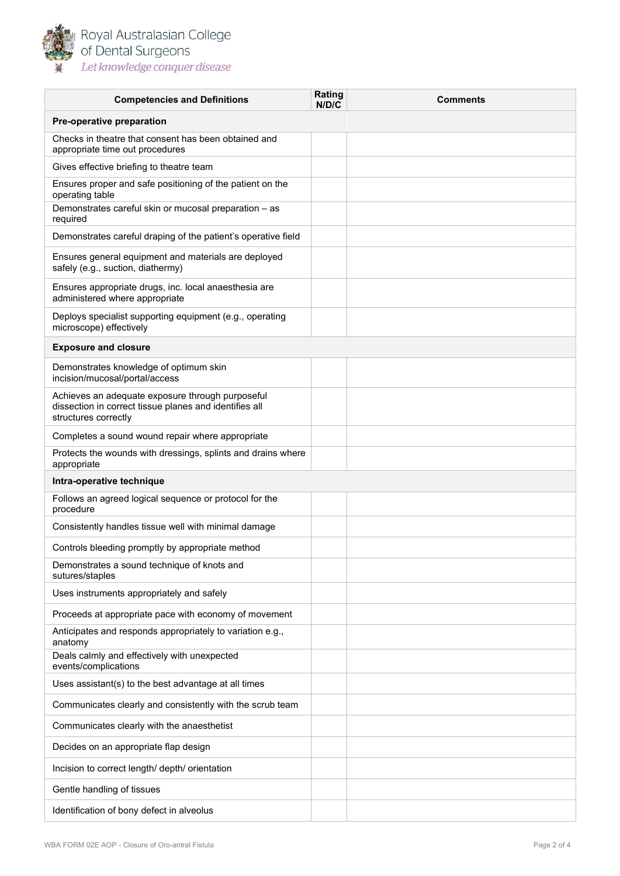

Royal Australasian College<br>of Dental Surgeons Let knowledge conquer disease

| <b>Competencies and Definitions</b>                                                                                                | Rating<br>N/D/C | <b>Comments</b> |
|------------------------------------------------------------------------------------------------------------------------------------|-----------------|-----------------|
| Pre-operative preparation                                                                                                          |                 |                 |
| Checks in theatre that consent has been obtained and<br>appropriate time out procedures                                            |                 |                 |
| Gives effective briefing to theatre team                                                                                           |                 |                 |
| Ensures proper and safe positioning of the patient on the<br>operating table                                                       |                 |                 |
| Demonstrates careful skin or mucosal preparation - as<br>required                                                                  |                 |                 |
| Demonstrates careful draping of the patient's operative field                                                                      |                 |                 |
| Ensures general equipment and materials are deployed<br>safely (e.g., suction, diathermy)                                          |                 |                 |
| Ensures appropriate drugs, inc. local anaesthesia are<br>administered where appropriate                                            |                 |                 |
| Deploys specialist supporting equipment (e.g., operating<br>microscope) effectively                                                |                 |                 |
| <b>Exposure and closure</b>                                                                                                        |                 |                 |
| Demonstrates knowledge of optimum skin<br>incision/mucosal/portal/access                                                           |                 |                 |
| Achieves an adequate exposure through purposeful<br>dissection in correct tissue planes and identifies all<br>structures correctly |                 |                 |
| Completes a sound wound repair where appropriate                                                                                   |                 |                 |
| Protects the wounds with dressings, splints and drains where<br>appropriate                                                        |                 |                 |
| Intra-operative technique                                                                                                          |                 |                 |
| Follows an agreed logical sequence or protocol for the<br>procedure                                                                |                 |                 |
| Consistently handles tissue well with minimal damage                                                                               |                 |                 |
| Controls bleeding promptly by appropriate method                                                                                   |                 |                 |
| Demonstrates a sound technique of knots and<br>sutures/staples                                                                     |                 |                 |
| Uses instruments appropriately and safely                                                                                          |                 |                 |
| Proceeds at appropriate pace with economy of movement                                                                              |                 |                 |
| Anticipates and responds appropriately to variation e.g.,<br>anatomy                                                               |                 |                 |
| Deals calmly and effectively with unexpected<br>events/complications                                                               |                 |                 |
| Uses assistant(s) to the best advantage at all times                                                                               |                 |                 |
| Communicates clearly and consistently with the scrub team                                                                          |                 |                 |
| Communicates clearly with the anaesthetist                                                                                         |                 |                 |
| Decides on an appropriate flap design                                                                                              |                 |                 |
| Incision to correct length/ depth/ orientation                                                                                     |                 |                 |
| Gentle handling of tissues                                                                                                         |                 |                 |
| Identification of bony defect in alveolus                                                                                          |                 |                 |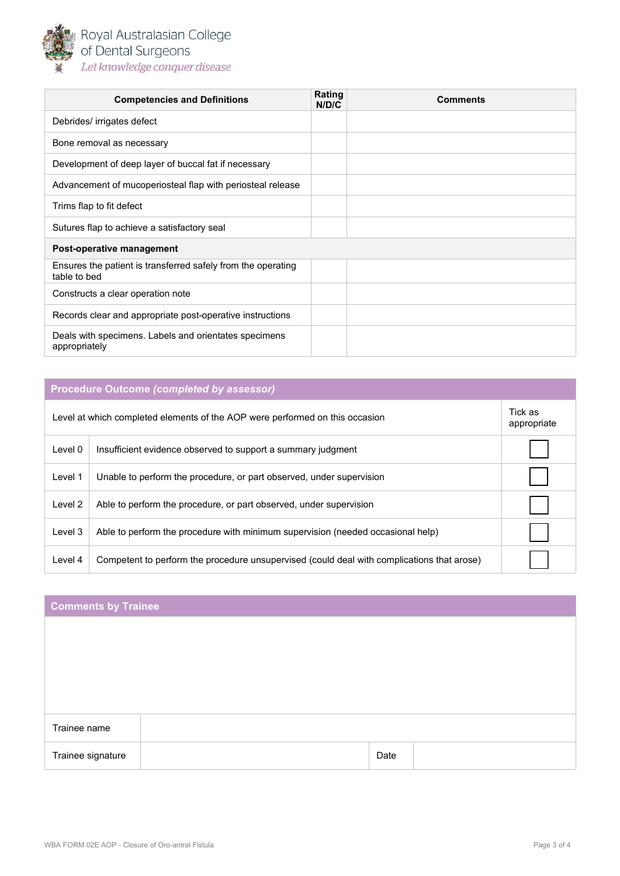

| <b>Competencies and Definitions</b>                                          | Rating<br>N/D/C | <b>Comments</b> |  |  |
|------------------------------------------------------------------------------|-----------------|-----------------|--|--|
| Debrides/ irrigates defect                                                   |                 |                 |  |  |
| Bone removal as necessary                                                    |                 |                 |  |  |
| Development of deep layer of buccal fat if necessary                         |                 |                 |  |  |
| Advancement of mucoperiosteal flap with periosteal release                   |                 |                 |  |  |
| Trims flap to fit defect                                                     |                 |                 |  |  |
| Sutures flap to achieve a satisfactory seal                                  |                 |                 |  |  |
| Post-operative management                                                    |                 |                 |  |  |
| Ensures the patient is transferred safely from the operating<br>table to bed |                 |                 |  |  |
| Constructs a clear operation note                                            |                 |                 |  |  |
| Records clear and appropriate post-operative instructions                    |                 |                 |  |  |
| Deals with specimens. Labels and orientates specimens<br>appropriately       |                 |                 |  |  |

## **Procedure Outcome** *(completed by assessor)*

| Level at which completed elements of the AOP were performed on this occasion |                                                                                            |  |
|------------------------------------------------------------------------------|--------------------------------------------------------------------------------------------|--|
| Level 0                                                                      | Insufficient evidence observed to support a summary judgment                               |  |
| Level 1                                                                      | Unable to perform the procedure, or part observed, under supervision                       |  |
| Level 2                                                                      | Able to perform the procedure, or part observed, under supervision                         |  |
| Level 3                                                                      | Able to perform the procedure with minimum supervision (needed occasional help)            |  |
| Level 4                                                                      | Competent to perform the procedure unsupervised (could deal with complications that arose) |  |

## **Comments by Trainee**

| <u>, communication de la compa</u> |      |  |  |
|------------------------------------|------|--|--|
|                                    |      |  |  |
|                                    |      |  |  |
|                                    |      |  |  |
|                                    |      |  |  |
|                                    |      |  |  |
|                                    |      |  |  |
|                                    |      |  |  |
|                                    | Date |  |  |
|                                    |      |  |  |